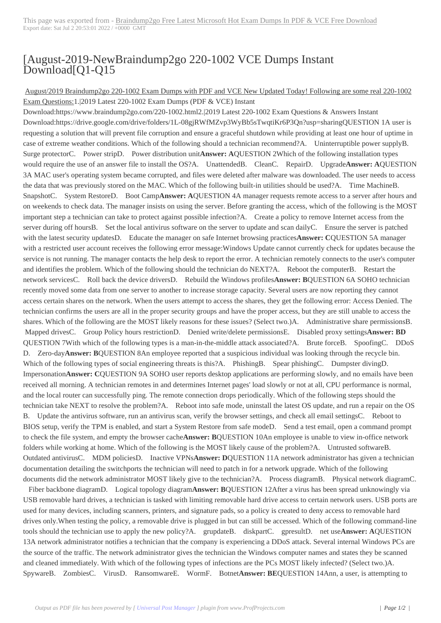## [August-2019-New[Braindump2go 220-1002 VCE Dumps Instant](http://www.symantecdumps.com/?p=11401) Download[Q1-Q15

## August/2019 Braindump2go 220-1002 Exam Dumps with PDF and VCE New Updated Today! Following are some real 220-1002 Exam Questions:1.|2019 Latest 220-1002 Exam Dumps (PDF & VCE) Instant

Download:https://www.braindump2go.com/220-1002.html2.|2019 Latest 220-1002 Exam Questions & Answers Instant Download:https://drive.google.com/drive/folders/1L-08gjRWfMZvp3WyBb5sTwqtiKr6P3Qn?usp=sharingQUESTION 1A user is requesting a solution that will prevent file corruption and ensure a graceful shutdown while providing at least one hour of uptime in case of extreme weather conditions. Which of the following should a technician recommend?A. Uninterruptible power supplyB. Surge protectorC. Power stripD. Power distribution unit**Answer: A**QUESTION 2Which of the following installation types would require the use of an answer file to install the OS?A. UnattendedB. CleanC. RepairD. Upgrade**Answer: A**QUESTION 3A MAC user's operating system became corrupted, and files were deleted after malware was downloaded. The user needs to access the data that was previously stored on the MAC. Which of the following built-in utilities should be used?A. Time MachineB. SnapshotC. System RestoreD. Boot Camp**Answer: A**QUESTION 4A manager requests remote access to a server after hours and on weekends to check data. The manager insists on using the server. Before granting the access, which of the following is the MOST important step a technician can take to protect against possible infection?A. Create a policy to remove Internet access from the server during off hoursB. Set the local antivirus software on the server to update and scan dailyC. Ensure the server is patched with the latest security updatesD. Educate the manager on safe Internet browsing practices**Answer: C**QUESTION 5A manager with a restricted user account receives the following error message:Windows Update cannot currently check for updates because the service is not running. The manager contacts the help desk to report the error. A technician remotely connects to the user's computer and identifies the problem. Which of the following should the technician do NEXT?A. Reboot the computerB. Restart the network servicesC. Roll back the device driversD. Rebuild the Windows profiles**Answer: B**QUESTION 6A SOHO technician recently moved some data from one server to another to increase storage capacity. Several users are now reporting they cannot access certain shares on the network. When the users attempt to access the shares, they get the following error: Access Denied. The technician confirms the users are all in the proper security groups and have the proper access, but they are still unable to access the shares. Which of the following are the MOST likely reasons for these issues? (Select two.)A. Administrative share permissionsB. Mapped drivesC. Group Policy hours restrictionD. Denied write/delete permissionsE. Disabled proxy settings**Answer: BD** QUESTION 7With which of the following types is a man-in-the-middle attack associated?A. Brute forceB. SpoofingC. DDoS D. Zero-day**Answer: B**QUESTION 8An employee reported that a suspicious individual was looking through the recycle bin. Which of the following types of social engineering threats is this?A. PhishingB. Spear phishingC. Dumpster divingD. Impersonation**Answer: C**QUESTION 9A SOHO user reports desktop applications are performing slowly, and no emails have been received all morning. A technician remotes in and determines Internet pages' load slowly or not at all, CPU performance is normal, and the local router can successfully ping. The remote connection drops periodically. Which of the following steps should the technician take NEXT to resolve the problem?A. Reboot into safe mode, uninstall the latest OS update, and run a repair on the OS B. Update the antivirus software, run an antivirus scan, verify the browser settings, and check all email settingsC. Reboot to BIOS setup, verify the TPM is enabled, and start a System Restore from safe modeD. Send a test email, open a command prompt to check the file system, and empty the browser cache**Answer: B**QUESTION 10An employee is unable to view in-office network folders while working at home. Which of the following is the MOST likely cause of the problem?A. Untrusted softwareB. Outdated antivirusC. MDM policiesD. Inactive VPNs**Answer: D**QUESTION 11A network administrator has given a technician documentation detailing the switchports the technician will need to patch in for a network upgrade. Which of the following documents did the network administrator MOST likely give to the technician?A. Process diagramB. Physical network diagramC.

 Fiber backbone diagramD. Logical topology diagram**Answer: B**QUESTION 12After a virus has been spread unknowingly via USB removable hard drives, a technician is tasked with limiting removable hard drive access to certain network users. USB ports are used for many devices, including scanners, printers, and signature pads, so a policy is created to deny access to removable hard drives only.When testing the policy, a removable drive is plugged in but can still be accessed. Which of the following command-line tools should the technician use to apply the new policy?A. grupdateB. diskpartC. gpresultD. net use**Answer: A**QUESTION 13A network administrator notifies a technician that the company is experiencing a DDoS attack. Several internal Windows PCs are the source of the traffic. The network administrator gives the technician the Windows computer names and states they be scanned and cleaned immediately. With which of the following types of infections are the PCs MOST likely infected? (Select two.)A. SpywareB. ZombiesC. VirusD. RansomwareE. WormF. Botnet**Answer: BE**QUESTION 14Ann, a user, is attempting to